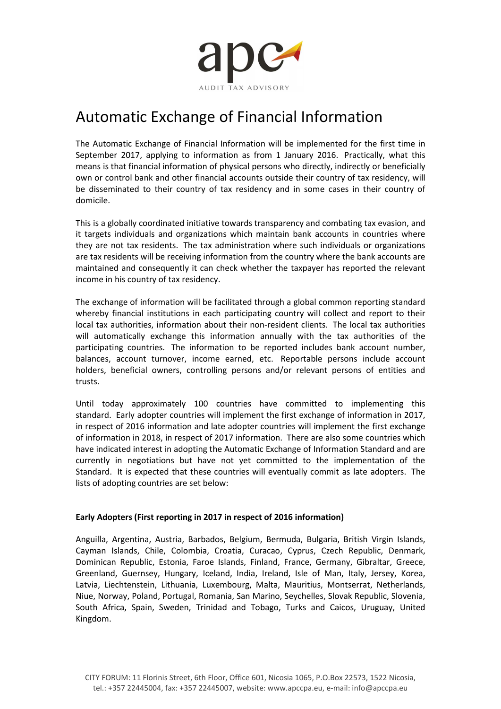

## Automatic Exchange of Financial Information

The Automatic Exchange of Financial Information will be implemented for the first time in September 2017, applying to information as from 1 January 2016. Practically, what this means is that financial information of physical persons who directly, indirectly or beneficially own or control bank and other financial accounts outside their country of tax residency, will be disseminated to their country of tax residency and in some cases in their country of domicile.

This is a globally coordinated initiative towards transparency and combating tax evasion, and it targets individuals and organizations which maintain bank accounts in countries where they are not tax residents. The tax administration where such individuals or organizations are tax residents will be receiving information from the country where the bank accounts are maintained and consequently it can check whether the taxpayer has reported the relevant income in his country of tax residency.

The exchange of information will be facilitated through a global common reporting standard whereby financial institutions in each participating country will collect and report to their local tax authorities, information about their non-resident clients. The local tax authorities will automatically exchange this information annually with the tax authorities of the participating countries. The information to be reported includes bank account number, balances, account turnover, income earned, etc. Reportable persons include account holders, beneficial owners, controlling persons and/or relevant persons of entities and trusts.

Until today approximately 100 countries have committed to implementing this standard. Early adopter countries will implement the first exchange of information in 2017, in respect of 2016 information and late adopter countries will implement the first exchange of information in 2018, in respect of 2017 information. There are also some countries which have indicated interest in adopting the Automatic Exchange of Information Standard and are currently in negotiations but have not yet committed to the implementation of the Standard. It is expected that these countries will eventually commit as late adopters. The lists of adopting countries are set below:

## Early Adopters (First reporting in 2017 in respect of 2016 information)

Anguilla, Argentina, Austria, Barbados, Belgium, Bermuda, Bulgaria, British Virgin Islands, Cayman Islands, Chile, Colombia, Croatia, Curacao, Cyprus, Czech Republic, Denmark, Dominican Republic, Estonia, Faroe Islands, Finland, France, Germany, Gibraltar, Greece, Greenland, Guernsey, Hungary, Iceland, India, Ireland, Isle of Man, Italy, Jersey, Korea, Latvia, Liechtenstein, Lithuania, Luxembourg, Malta, Mauritius, Montserrat, Netherlands, Niue, Norway, Poland, Portugal, Romania, San Marino, Seychelles, Slovak Republic, Slovenia, South Africa, Spain, Sweden, Trinidad and Tobago, Turks and Caicos, Uruguay, United Kingdom.